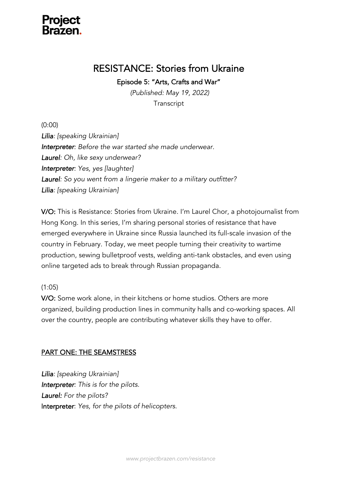

## RESISTANCE: Stories from Ukraine

Episode 5: "Arts, Crafts and War"

*(Published: May 19, 2022)* **Transcript** 

(0:00)

*Lilia: [speaking Ukrainian] Interpreter: Before the war started she made underwear. Laurel: Oh, like sexy underwear? Interpreter: Yes, yes [laughter] Laurel: So you went from a lingerie maker to a military outfitter? Lilia: [speaking Ukrainian]*

V/O: This is Resistance: Stories from Ukraine. I'm Laurel Chor, a photojournalist from Hong Kong. In this series, I'm sharing personal stories of resistance that have emerged everywhere in Ukraine since Russia launched its full-scale invasion of the country in February. Today, we meet people turning their creativity to wartime production, sewing bulletproof vests, welding anti-tank obstacles, and even using online targeted ads to break through Russian propaganda.

#### (1:05)

V/O: Some work alone, in their kitchens or home studios. Others are more organized, building production lines in community halls and co-working spaces. All over the country, people are contributing whatever skills they have to offer.

#### PART ONE: THE SEAMSTRESS

*Lilia: [speaking Ukrainian] Interpreter: This is for the pilots. Laurel: For the pilots?* Interpreter: *Yes, for the pilots of helicopters.*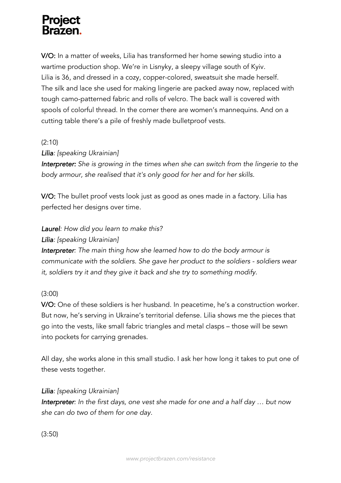V/O: In a matter of weeks, Lilia has transformed her home sewing studio into a wartime production shop. We're in Lisnyky, a sleepy village south of Kyiv. Lilia is 36, and dressed in a cozy, copper-colored, sweatsuit she made herself. The silk and lace she used for making lingerie are packed away now, replaced with tough camo-patterned fabric and rolls of velcro. The back wall is covered with spools of colorful thread. In the corner there are women's mannequins. And on a cutting table there's a pile of freshly made bulletproof vests.

### (2:10)

#### *Lilia: [speaking Ukrainian]*

*Interpreter: She is growing in the times when she can switch from the lingerie to the body armour, she realised that it's only good for her and for her skills.* 

V/O: The bullet proof vests look just as good as ones made in a factory. Lilia has perfected her designs over time.

### *Laurel: How did you learn to make this?*

#### *Lilia: [speaking Ukrainian]*

*Interpreter: The main thing how she learned how to do the body armour is communicate with the soldiers. She gave her product to the soldiers - soldiers wear it, soldiers try it and they give it back and she try to something modify.*

#### (3:00)

V/O: One of these soldiers is her husband. In peacetime, he's a construction worker. But now, he's serving in Ukraine's territorial defense. Lilia shows me the pieces that go into the vests, like small fabric triangles and metal clasps – those will be sewn into pockets for carrying grenades.

All day, she works alone in this small studio. I ask her how long it takes to put one of these vests together.

#### *Lilia: [speaking Ukrainian]*

*Interpreter: In the first days, one vest she made for one and a half day … but now she can do two of them for one day.* 

(3:50)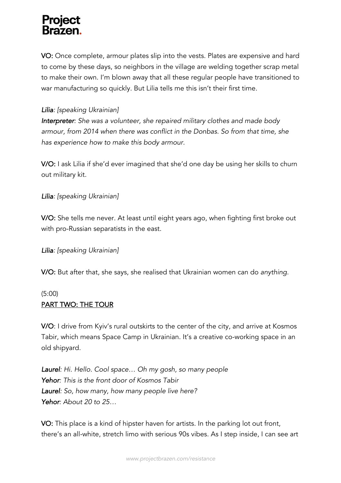VO: Once complete, armour plates slip into the vests. Plates are expensive and hard to come by these days, so neighbors in the village are welding together scrap metal to make their own. I'm blown away that all these regular people have transitioned to war manufacturing so quickly. But Lilia tells me this isn't their first time.

### *Lilia: [speaking Ukrainian]*

*Interpreter: She was a volunteer, she repaired military clothes and made body armour, from 2014 when there was conflict in the Donbas. So from that time, she has experience how to make this body armour.* 

V/O: I ask Lilia if she'd ever imagined that she'd one day be using her skills to churn out military kit.

#### *Lilia: [speaking Ukrainian]*

V/O: She tells me never. At least until eight years ago, when fighting first broke out with pro-Russian separatists in the east.

#### *Lilia: [speaking Ukrainian]*

V/O: But after that, she says, she realised that Ukrainian women can do *anything*.

#### (5:00)

### PART TWO: THE TOUR

V/O: I drive from Kyiv's rural outskirts to the center of the city, and arrive at Kosmos Tabir, which means Space Camp in Ukrainian. It's a creative co-working space in an old shipyard.

*Laurel: Hi. Hello. Cool space… Oh my gosh, so many people Yehor: This is the front door of Kosmos Tabir Laurel: So, how many, how many people live here? Yehor: About 20 to 25…*

VO: This place is a kind of hipster haven for artists. In the parking lot out front, there's an all-white, stretch limo with serious 90s vibes. As I step inside, I can see art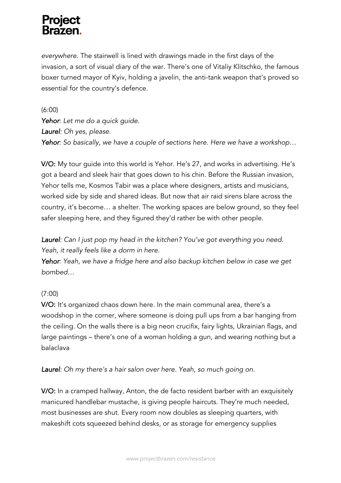*everywhere*. The stairwell is lined with drawings made in the first days of the invasion, a sort of visual diary of the war. There's one of Vitaliy Klitschko, the famous boxer turned mayor of Kyiv, holding a javelin, the anti-tank weapon that's proved so essential for the country's defence.

(6:00) *Yehor: Let me do a quick guide. Laurel: Oh yes, please. Yehor: So basically, we have a couple of sections here. Here we have a workshop…* 

V/O: My tour guide into this world is Yehor. He's 27, and works in advertising. He's got a beard and sleek hair that goes down to his chin. Before the Russian invasion, Yehor tells me, Kosmos Tabir was a place where designers, artists and musicians, worked side by side and shared ideas. But now that air raid sirens blare across the country, it's become… a shelter. The working spaces are below ground, so they feel safer sleeping here, and they figured they'd rather be with other people.

*Laurel: Can I just pop my head in the kitchen? You've got everything you need. Yeah, it really feels like a dorm in here.*

*Yehor: Yeah, we have a fridge here and also backup kitchen below in case we get bombed…*

### (7:00)

V/O: It's organized chaos down here. In the main communal area, there's a woodshop in the corner, where someone is doing pull ups from a bar hanging from the ceiling. On the walls there is a big neon crucifix, fairy lights, Ukrainian flags, and large paintings – there's one of a woman holding a gun, and wearing nothing but a balaclava

*Laurel: Oh my there's a hair salon over here. Yeah, so much going on.*

V/O: In a cramped hallway, Anton, the de facto resident barber with an exquisitely manicured handlebar mustache, is giving people haircuts. They're much needed, most businesses are shut. Every room now doubles as sleeping quarters, with makeshift cots squeezed behind desks, or as storage for emergency supplies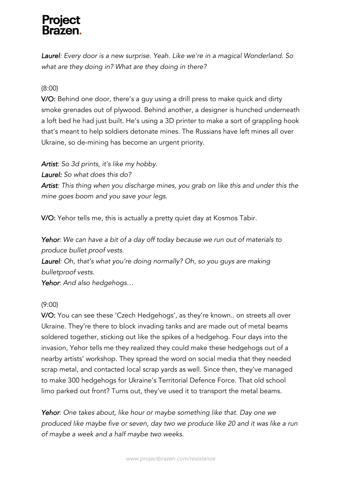*Laurel: Every door is a new surprise. Yeah. Like we're in a magical Wonderland. So what are they doing in? What are they doing in there?* 

### (8:00)

V/O: Behind one door, there's a guy using a drill press to make quick and dirty smoke grenades out of plywood. Behind another, a designer is hunched underneath a loft bed he had just built. He's using a 3D printer to make a sort of grappling hook that's meant to help soldiers detonate mines. The Russians have left mines all over Ukraine, so de-mining has become an urgent priority.

*Artist: So 3d prints, it's like my hobby.*

*Laurel: So what does this do?*

*Artist: This thing when you discharge mines, you grab on like this and under this the mine goes boom and you save your legs.*

V/O: Yehor tells me, this is actually a pretty quiet day at Kosmos Tabir.

*Yehor: We can have a bit of a day off today because we run out of materials to produce bullet proof vests.*

*Laurel: Oh, that's what you're doing normally? Oh, so you guys are making bulletproof vests.*

*Yehor: And also hedgehogs…*

### (9:00)

V/O: You can see these 'Czech Hedgehogs', as they're known.. on streets all over Ukraine. They're there to block invading tanks and are made out of metal beams soldered together, sticking out like the spikes of a hedgehog. Four days into the invasion, Yehor tells me they realized they could make these hedgehogs out of a nearby artists' workshop. They spread the word on social media that they needed scrap metal, and contacted local scrap yards as well. Since then, they've managed to make 300 hedgehogs for Ukraine's Territorial Defence Force. That old school limo parked out front? Turns out, they've used it to transport the metal beams.

*Yehor: One takes about, like hour or maybe something like that. Day one we produced like maybe five or seven, day two we produce like 20 and it was like a run of maybe a week and a half maybe two weeks.*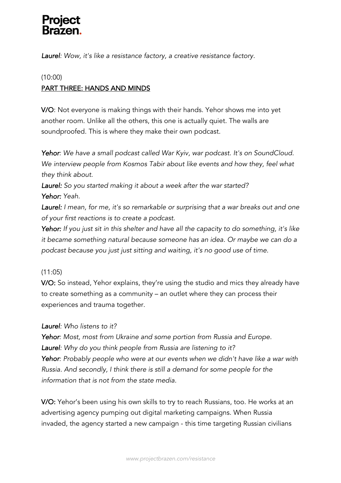*Laurel: Wow, it's like a resistance factory, a creative resistance factory.*

## (10:00) PART THREE: HANDS AND MINDS

V/O: Not everyone is making things with their hands. Yehor shows me into yet another room. Unlike all the others, this one is actually quiet. The walls are soundproofed. This is where they make their own podcast.

*Yehor: We have a small podcast called War Kyiv, war podcast. It's on SoundCloud. We interview people from Kosmos Tabir about like events and how they, feel what they think about.* 

*Laurel: So you started making it about a week after the war started? Yehor: Yeah.* 

*Laurel: I mean, for me, it's so remarkable or surprising that a war breaks out and one of your first reactions is to create a podcast.*

*Yehor: If you just sit in this shelter and have all the capacity to do something, it's like it became something natural because someone has an idea. Or maybe we can do a podcast because you just just sitting and waiting, it's no good use of time.* 

### (11:05)

V/O: So instead, Yehor explains, they're using the studio and mics they already have to create something as a community – an outlet where they can process their experiences and trauma together.

#### *Laurel: Who listens to it?*

*Yehor: Most, most from Ukraine and some portion from Russia and Europe. Laurel: Why do you think people from Russia are listening to it? Yehor: Probably people who were at our events when we didn't have like a war with Russia. And secondly, I think there is still a demand for some people for the information that is not from the state media.*

V/O: Yehor's been using his own skills to try to reach Russians, too. He works at an advertising agency pumping out digital marketing campaigns. When Russia invaded, the agency started a new campaign - this time targeting Russian civilians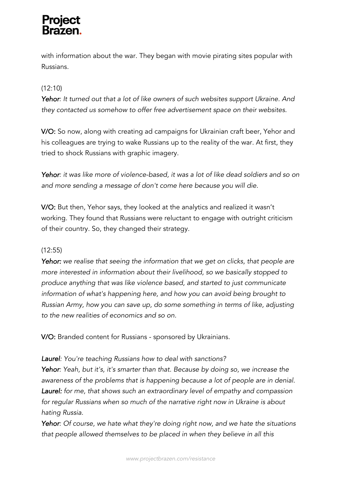with information about the war. They began with movie pirating sites popular with Russians.

### (12:10)

*Yehor: It turned out that a lot of like owners of such websites support Ukraine. And they contacted us somehow to offer free advertisement space on their websites.* 

V/O: So now, along with creating ad campaigns for Ukrainian craft beer, Yehor and his colleagues are trying to wake Russians up to the reality of the war. At first, they tried to shock Russians with graphic imagery.

*Yehor: it was like more of violence-based, it was a lot of like dead soldiers and so on and more sending a message of don't come here because you will die.*

V/O: But then, Yehor says, they looked at the analytics and realized it wasn't working. They found that Russians were reluctant to engage with outright criticism of their country. So, they changed their strategy.

### (12:55)

*Yehor: we realise that seeing the information that we get on clicks, that people are more interested in information about their livelihood, so we basically stopped to produce anything that was like violence based, and started to just communicate information of what's happening here, and how you can avoid being brought to Russian Army, how you can save up, do some something in terms of like, adjusting to the new realities of economics and so on.*

V/O: Branded content for Russians - sponsored by Ukrainians.

### *Laurel: You're teaching Russians how to deal with sanctions?*

*Yehor: Yeah, but it's, it's smarter than that. Because by doing so, we increase the awareness of the problems that is happening because a lot of people are in denial. Laurel: for me, that shows such an extraordinary level of empathy and compassion for regular Russians when so much of the narrative right now in Ukraine is about hating Russia.*

*Yehor: Of course, we hate what they're doing right now, and we hate the situations that people allowed themselves to be placed in when they believe in all this*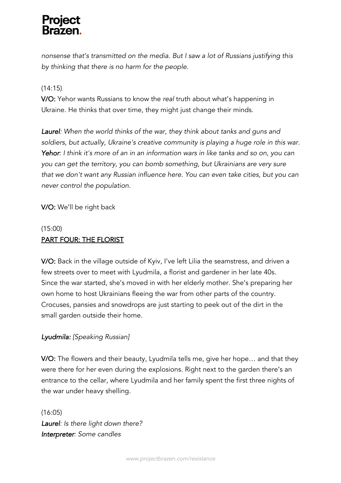*nonsense that's transmitted on the media. But I saw a lot of Russians justifying this by thinking that there is no harm for the people.*

### (14:15)

V/O: Yehor wants Russians to know the *real* truth about what's happening in Ukraine. He thinks that over time, they might just change their minds.

*Laurel: When the world thinks of the war, they think about tanks and guns and soldiers, but actually, Ukraine's creative community is playing a huge role in this war. Yehor: I think it's more of an in an information wars in like tanks and so on, you can you can get the territory, you can bomb something, but Ukrainians are very sure that we don't want any Russian influence here. You can even take cities, but you can never control the population.* 

V/O: We'll be right back

## (15:00) PART FOUR: THE FLORIST

V/O: Back in the village outside of Kyiv, I've left Lilia the seamstress, and driven a few streets over to meet with Lyudmila, a florist and gardener in her late 40s. Since the war started, she's moved in with her elderly mother. She's preparing her own home to host Ukrainians fleeing the war from other parts of the country. Crocuses, pansies and snowdrops are just starting to peek out of the dirt in the small garden outside their home.

### *Lyudmila: [Speaking Russian]*

V/O: The flowers and their beauty, Lyudmila tells me, give her hope… and that they were there for her even during the explosions. Right next to the garden there's an entrance to the cellar, where Lyudmila and her family spent the first three nights of the war under heavy shelling.

(16:05) *Laurel: Is there light down there? Interpreter: Some candles*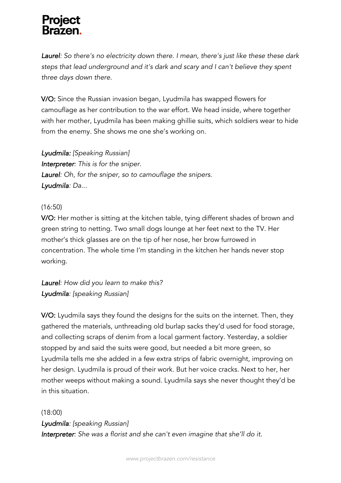*Laurel: So there's no electricity down there. I mean, there's just like these these dark steps that lead underground and it's dark and scary and I can't believe they spent three days down there.* 

V/O: Since the Russian invasion began, Lyudmila has swapped flowers for camouflage as her contribution to the war effort. We head inside, where together with her mother, Lyudmila has been making ghillie suits, which soldiers wear to hide from the enemy. She shows me one she's working on.

*Lyudmila: [Speaking Russian] Interpreter: This is for the sniper. Laurel: Oh, for the sniper, so to camouflage the snipers. Lyudmila: Da...*

### (16:50)

V/O: Her mother is sitting at the kitchen table, tying different shades of brown and green string to netting. Two small dogs lounge at her feet next to the TV. Her mother's thick glasses are on the tip of her nose, her brow furrowed in concentration. The whole time I'm standing in the kitchen her hands never stop working.

*Laurel: How did you learn to make this? Lyudmila: [speaking Russian]*

V/O: Lyudmila says they found the designs for the suits on the internet. Then, they gathered the materials, unthreading old burlap sacks they'd used for food storage, and collecting scraps of denim from a local garment factory. Yesterday, a soldier stopped by and said the suits were good, but needed a bit more green, so Lyudmila tells me she added in a few extra strips of fabric overnight, improving on her design. Lyudmila is proud of their work. But her voice cracks. Next to her, her mother weeps without making a sound. Lyudmila says she never thought they'd be in this situation.

#### (18:00)

*Lyudmila: [speaking Russian] Interpreter: She was a florist and she can't even imagine that she'll do it.*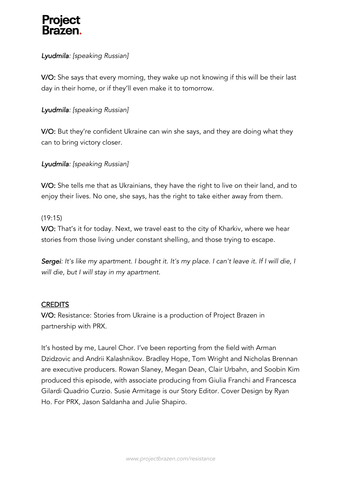### *Lyudmila: [speaking Russian]*

V/O: She says that every morning, they wake up not knowing if this will be their last day in their home, or if they'll even make it to tomorrow.

#### *Lyudmila: [speaking Russian]*

V/O: But they're confident Ukraine can win she says, and they are doing what they can to bring victory closer.

### *Lyudmila: [speaking Russian]*

V/O: She tells me that as Ukrainians, they have the right to live on their land, and to enjoy their lives. No one, she says, has the right to take either away from them.

#### (19:15)

V/O: That's it for today. Next, we travel east to the city of Kharkiv, where we hear stories from those living under constant shelling, and those trying to escape.

*Sergei: It's like my apartment. I bought it. It's my place. I can't leave it. If I will die, I will die, but I will stay in my apartment.*

#### **CREDITS**

V/O: Resistance: Stories from Ukraine is a production of Project Brazen in partnership with PRX.

It's hosted by me, Laurel Chor. I've been reporting from the field with Arman Dzidzovic and Andrii Kalashnikov. Bradley Hope, Tom Wright and Nicholas Brennan are executive producers. Rowan Slaney, Megan Dean, Clair Urbahn, and Soobin Kim produced this episode, with associate producing from Giulia Franchi and Francesca Gilardi Quadrio Curzio. Susie Armitage is our Story Editor. Cover Design by Ryan Ho. For PRX, Jason Saldanha and Julie Shapiro.